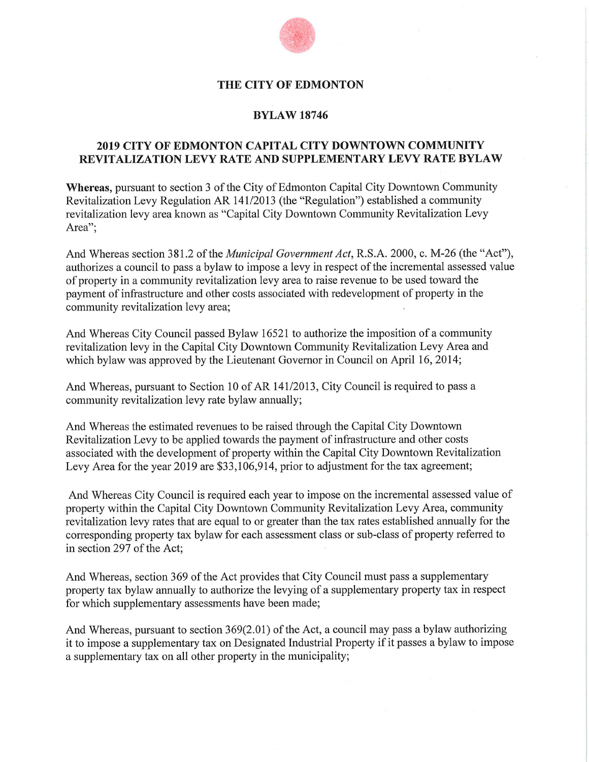

#### **THE CITY OF EDMONTON**

#### **BYLAW 18746**

## **2019 CITY OF EDMONTON CAPITAL CITY DOWNTOWN COMMUNITY REVITALIZATION LEVY RATE AND SUPPLEMENTARY LEVY RATE BYLAW**

**Whereas,** pursuant to section 3 of the City of Edmonton Capital City Downtown Community Revitalization Levy Regulation AR 141/2013 (the "Regulation") established a community revitalization levy area known as "Capital City Downtown Community Revitalization Levy Area";

And Whereas section 381.2 of the *Municipal Government Act,* R.S.A. 2000, c. M-26 (the "Act"), authorizes a council to pass a bylaw to impose a levy in respect of the incremental assessed value of property in a community revitalization levy area to raise revenue to be used toward the payment of infrastructure and other costs associated with redevelopment of property in the community revitalization levy area;

And Whereas City Council passed Bylaw 16521 to authorize the imposition of a community revitalization levy in the Capital City Downtown Community Revitalization Levy Area and which bylaw was approved by the Lieutenant Governor in Council on April 16, 2014;

And Whereas, pursuant to Section 10 of AR 141/2013, City Council is required to pass a community revitalization levy rate bylaw annually;

And Whereas the estimated revenues to be raised through the Capital City Downtown Revitalization Levy to be applied towards the payment of infrastructure and other costs associated with the development of property within the Capital City Downtown Revitalization Levy Area for the year 2019 are \$33,106,914, prior to adjustment for the tax agreement;

And Whereas City Council is required each year to impose on the incremental assessed value of property within the Capital City Downtown Community Revitalization Levy Area, community revitalization levy rates that are equal to or greater than the tax rates established annually for the corresponding property tax bylaw for each assessment class or sub-class of property referred to in section 297 of the Act;

And Whereas, section 369 of the Act provides that City Council must pass a supplementary property tax bylaw annually to authorize the levying of a supplementary property tax in respect for which supplementary assessments have been made;

And Whereas, pursuant to section 369(2.01) of the Act, a council may pass a bylaw authorizing it to impose a supplementary tax on Designated Industrial Property if it passes a bylaw to impose a supplementary tax on all other property in the municipality;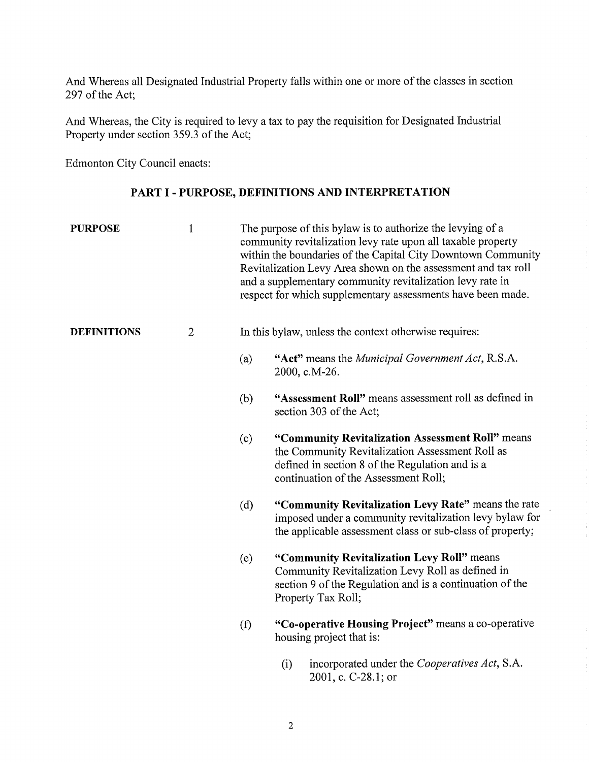And Whereas all Designated Industrial Property falls within one or more of the classes in section 297 of the Act;

And Whereas, the City is required to levy a tax to pay the requisition for Designated Industrial Property under section 359.3 of the Act;

Edmonton City Council enacts:

# PART I - PURPOSE, DEFINITIONS AND INTERPRETATION

| <b>PURPOSE</b>     | $\mathbf{1}$   |     | The purpose of this bylaw is to authorize the levying of a<br>community revitalization levy rate upon all taxable property<br>within the boundaries of the Capital City Downtown Community<br>Revitalization Levy Area shown on the assessment and tax roll<br>and a supplementary community revitalization levy rate in<br>respect for which supplementary assessments have been made. |  |  |  |
|--------------------|----------------|-----|-----------------------------------------------------------------------------------------------------------------------------------------------------------------------------------------------------------------------------------------------------------------------------------------------------------------------------------------------------------------------------------------|--|--|--|
| <b>DEFINITIONS</b> | $\overline{2}$ |     | In this bylaw, unless the context otherwise requires:                                                                                                                                                                                                                                                                                                                                   |  |  |  |
|                    |                | (a) | "Act" means the Municipal Government Act, R.S.A.<br>2000, c.M-26.                                                                                                                                                                                                                                                                                                                       |  |  |  |
|                    |                | (b) | "Assessment Roll" means assessment roll as defined in<br>section 303 of the Act;                                                                                                                                                                                                                                                                                                        |  |  |  |
|                    |                | (c) | "Community Revitalization Assessment Roll" means<br>the Community Revitalization Assessment Roll as<br>defined in section 8 of the Regulation and is a<br>continuation of the Assessment Roll;                                                                                                                                                                                          |  |  |  |
|                    |                | (d) | "Community Revitalization Levy Rate" means the rate<br>imposed under a community revitalization levy bylaw for<br>the applicable assessment class or sub-class of property;                                                                                                                                                                                                             |  |  |  |
|                    |                | (e) | "Community Revitalization Levy Roll" means<br>Community Revitalization Levy Roll as defined in<br>section 9 of the Regulation and is a continuation of the<br>Property Tax Roll;                                                                                                                                                                                                        |  |  |  |
|                    |                | (f) | "Co-operative Housing Project" means a co-operative<br>housing project that is:                                                                                                                                                                                                                                                                                                         |  |  |  |
|                    |                |     | incorporated under the <i>Cooperatives Act</i> , S.A.<br>(i)                                                                                                                                                                                                                                                                                                                            |  |  |  |

2001, c. C-28.1; or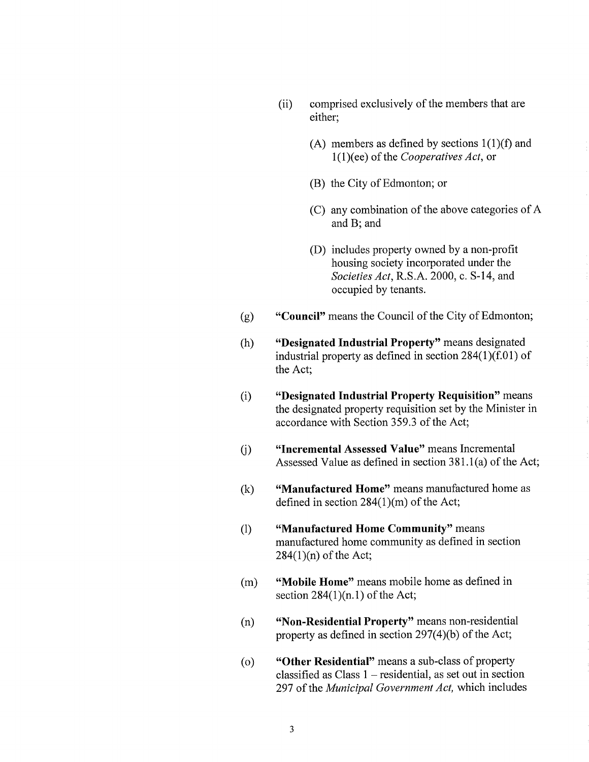- (ii) comprised exclusively of the members that are either;
	- (A) members as defined by sections 1(1)(f) and 1(1)(ee) of the *Cooperatives Act,* or
	- (B) the City of Edmonton; or
	- (C) any combination of the above categories of A and B; and
	- (D) includes property owned by a non-profit housing society incorporated under the *Societies Act,* R.S.A. 2000, c. S-14, and occupied by tenants.
- **(g) "Council"** means the Council of the City of Edmonton;
- **(h) "Designated Industrial Property"** means designated industrial property as defined in section 284(1)(f.01) of the Act;
- **(1) "Designated Industrial Property Requisition"** means the designated property requisition set by the Minister in accordance with Section 359.3 of the Act;
- **a) "Incremental Assessed Value"** means Incremental Assessed Value as defined in section 381.1(a) of the Act;
- (k) **"Manufactured Home"** means manufactured home as defined in section 284(1)(m) of the Act;
- **(1) "Manufactured Home Community"** means manufactured home community as defined in section 284(1)(n) of the Act;
- **(m) "Mobile Home"** means mobile home as defined in section  $284(1)(n.1)$  of the Act;
- **(n) "Non-Residential Property"** means non-residential property as defined in section 297(4)(b) of the Act;
- **(o) "Other Residential"** means a sub-class of property classified as Class 1 — residential, as set out in section 297 of the *Municipal Government Act,* which includes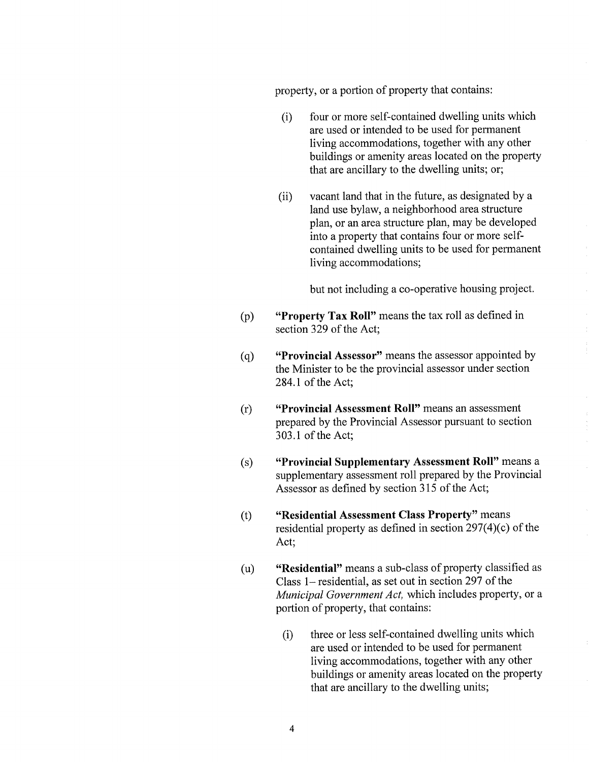property, or a portion of property that contains:

- (i) four or more self-contained dwelling units which are used or intended to be used for permanent living accommodations, together with any other buildings or amenity areas located on the property that are ancillary to the dwelling units; or;
- (ii) vacant land that in the future, as designated by a land use bylaw, a neighborhood area structure plan, or an area structure plan, may be developed into a property that contains four or more selfcontained dwelling units to be used for permanent living accommodations;

but not including a co-operative housing project.

- **"Property Tax Roll"** means the tax roll as defined in  $(p)$ section 329 of the Act;
- **"Provincial Assessor"** means the assessor appointed by  $(q)$ the Minister to be the provincial assessor under section 284.1 of the Act;
- **(r) "Provincial Assessment Roll"** means an assessment prepared by the Provincial Assessor pursuant to section 303.1 of the Act;
- **(s) "Provincial Supplementary Assessment Roll"** means a supplementary assessment roll prepared by the Provincial Assessor as defined by section 315 of the Act;
- **(t) "Residential Assessment Class Property"** means residential property as defined in section 297(4)(c) of the Act;
- **(u) "Residential"** means a sub-class of property classified as Class 1—residential, as set out in section 297 of the *Municipal Government Act,* which includes property, or a portion of property, that contains:
	- three or less self-contained dwelling units which are used or intended to be used for permanent living accommodations, together with any other buildings or amenity areas located on the property that are ancillary to the dwelling units; (i)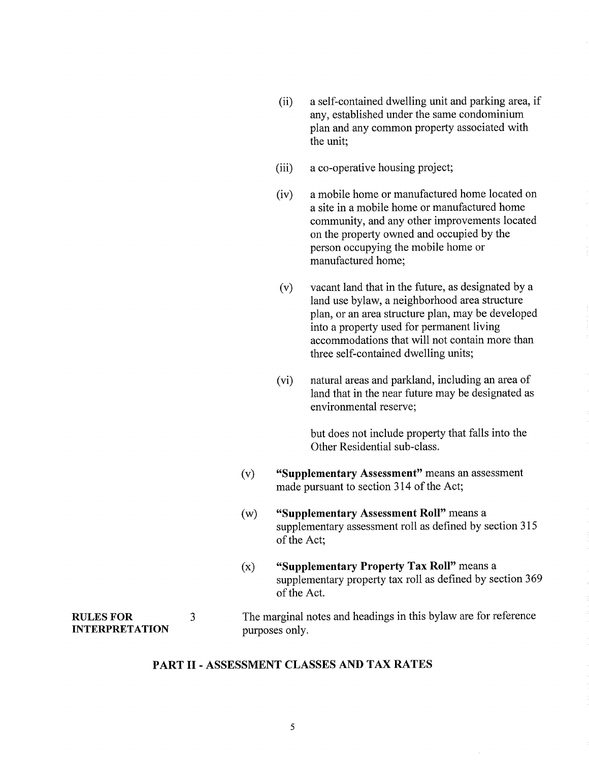- (ii) a self-contained dwelling unit and parking area, if any, established under the same condominium plan and any common property associated with the unit;
- (iii) a co-operative housing project;
- (iv) a mobile home or manufactured home located on a site in a mobile home or manufactured home community, and any other improvements located on the property owned and occupied by the person occupying the mobile home or manufactured home;
- (v) vacant land that in the future, as designated by a land use bylaw, a neighborhood area structure plan, or an area structure plan, may be developed into a property used for permanent living accommodations that will not contain more than three self-contained dwelling units;
- (vi) natural areas and parkland, including an area of land that in the near future may be designated as environmental reserve;

but does not include property that falls into the Other Residential sub-class.

- (v) "Supplementary Assessment" means an assessment made pursuant to section 314 of the Act;
- (w) "Supplementary Assessment Roll" means a supplementary assessment roll as defined by section 315 of the Act;
- (x) "Supplementary Property Tax Roll" means a supplementary property tax roll as defined by section 369 of the Act.

## RULES FOR 3 The marginal notes and headings in this bylaw are for reference INTERPRETATION purposes only.

#### PART II- ASSESSMENT CLASSES AND TAX RATES

#### 5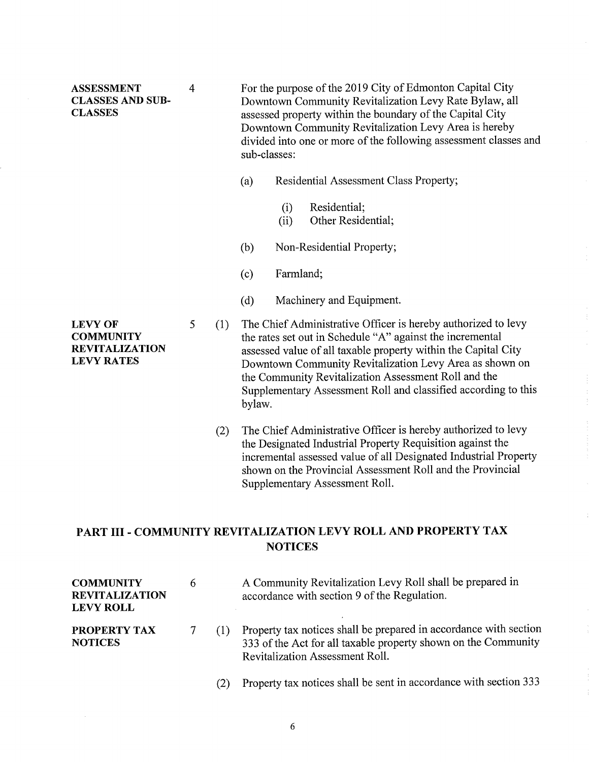| <b>ASSESSMENT</b><br><b>CLASSES AND SUB-</b><br><b>CLASSES</b> | 4 |            | For the purpose of the 2019 City of Edmonton Capital City<br>Downtown Community Revitalization Levy Rate Bylaw, all<br>assessed property within the boundary of the Capital City<br>Downtown Community Revitalization Levy Area is hereby<br>divided into one or more of the following assessment classes and<br>sub-classes: |                                                               |  |  |
|----------------------------------------------------------------|---|------------|-------------------------------------------------------------------------------------------------------------------------------------------------------------------------------------------------------------------------------------------------------------------------------------------------------------------------------|---------------------------------------------------------------|--|--|
|                                                                |   |            | (a)                                                                                                                                                                                                                                                                                                                           | Residential Assessment Class Property;                        |  |  |
|                                                                |   |            |                                                                                                                                                                                                                                                                                                                               | Residential;<br>(i)<br>Other Residential;<br>(ii)             |  |  |
|                                                                |   |            | (b)                                                                                                                                                                                                                                                                                                                           | Non-Residential Property;                                     |  |  |
|                                                                |   |            | (c)                                                                                                                                                                                                                                                                                                                           | Farmland;                                                     |  |  |
|                                                                |   |            | (d)                                                                                                                                                                                                                                                                                                                           | Machinery and Equipment.                                      |  |  |
| T BYTY AB                                                      |   | $\sqrt{1}$ |                                                                                                                                                                                                                                                                                                                               | The Chief A furthermotive Officer is houses outhoursed to low |  |  |

5 (1) The Chief Administrative Officer is hereby authorized to levy the rates set out in Schedule "A" against the incremental assessed value of all taxable property within the Capital City Downtown Community Revitalization Levy Area as shown on the Community Revitalization Assessment Roll and the Supplementary Assessment Roll and classified according to this bylaw.

(2) The Chief Administrative Officer is hereby authorized to levy the Designated Industrial Property Requisition against the incremental assessed value of all Designated Industrial Property shown on the Provincial Assessment Roll and the Provincial Supplementary Assessment Roll.

# **PART III - COMMUNITY REVITALIZATION LEVY ROLL AND PROPERTY TAX NOTICES**

| <b>COMMUNITY</b><br><b>REVITALIZATION</b><br><b>LEVY ROLL</b> | 6 |     | A Community Revitalization Levy Roll shall be prepared in<br>accordance with section 9 of the Regulation.                                                                     |
|---------------------------------------------------------------|---|-----|-------------------------------------------------------------------------------------------------------------------------------------------------------------------------------|
| <b>PROPERTY TAX</b><br><b>NOTICES</b>                         |   | (1) | Property tax notices shall be prepared in accordance with section<br>333 of the Act for all taxable property shown on the Community<br><b>Revitalization Assessment Roll.</b> |
|                                                               |   |     | Property tax notices shall be sent in accordance with section 333                                                                                                             |

LEVY OF **COMMUNITY** REVITALIZATION LEVY RATES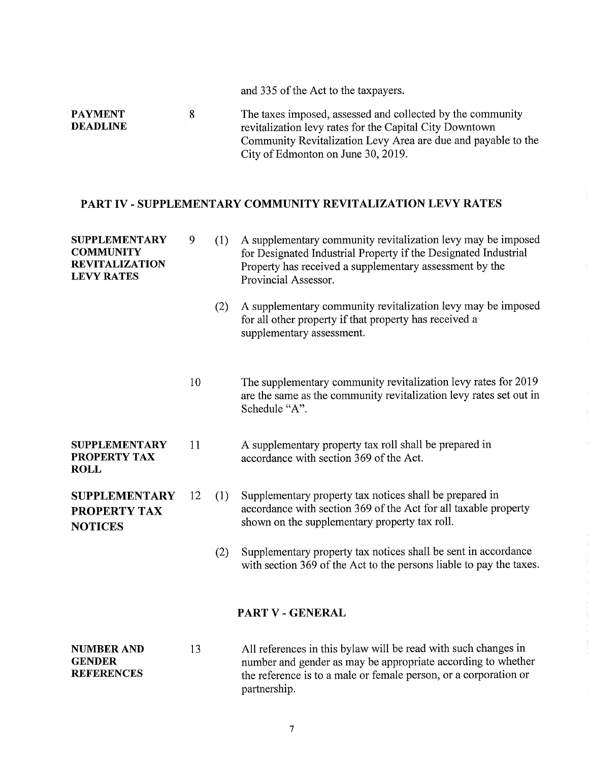|                                   |    | and 335 of the Act to the taxpayers.                                                                                                                                                                                         |
|-----------------------------------|----|------------------------------------------------------------------------------------------------------------------------------------------------------------------------------------------------------------------------------|
| <b>PAYMENT</b><br><b>DEADLINE</b> | 8. | The taxes imposed, assessed and collected by the community<br>revitalization levy rates for the Capital City Downtown<br>Community Revitalization Levy Area are due and payable to the<br>City of Edmonton on June 30, 2019. |
|                                   |    |                                                                                                                                                                                                                              |

# PART IV - SUPPLEMENTARY COMMUNITY REVITALIZATION LEVY RATES

| <b>SUPPLEMENTARY</b><br><b>COMMUNITY</b><br><b>REVITALIZATION</b><br><b>LEVY RATES</b> | 9  | (1) | A supplementary community revitalization levy may be imposed<br>for Designated Industrial Property if the Designated Industrial<br>Property has received a supplementary assessment by the<br>Provincial Assessor. |
|----------------------------------------------------------------------------------------|----|-----|--------------------------------------------------------------------------------------------------------------------------------------------------------------------------------------------------------------------|
|                                                                                        |    | (2) | A supplementary community revitalization levy may be imposed<br>for all other property if that property has received a<br>supplementary assessment.                                                                |
|                                                                                        | 10 |     | The supplementary community revitalization levy rates for 2019<br>are the same as the community revitalization levy rates set out in<br>Schedule "A".                                                              |
| <b>SUPPLEMENTARY</b><br>PROPERTY TAX<br><b>ROLL</b>                                    | 11 |     | A supplementary property tax roll shall be prepared in<br>accordance with section 369 of the Act.                                                                                                                  |
| <b>SUPPLEMENTARY</b><br><b>PROPERTY TAX</b><br><b>NOTICES</b>                          | 12 | (1) | Supplementary property tax notices shall be prepared in<br>accordance with section 369 of the Act for all taxable property<br>shown on the supplementary property tax roll.                                        |
|                                                                                        |    | (2) | Supplementary property tax notices shall be sent in accordance<br>with section 369 of the Act to the persons liable to pay the taxes.                                                                              |
|                                                                                        |    |     | PART V - GENERAL                                                                                                                                                                                                   |
| <b>NUMBER AND</b><br><b>GENDER</b><br><b>REFERENCES</b>                                | 13 |     | All references in this bylaw will be read with such changes in<br>number and gender as may be appropriate according to whether<br>the reference is to a male or female person, or a corporation or<br>partnership. |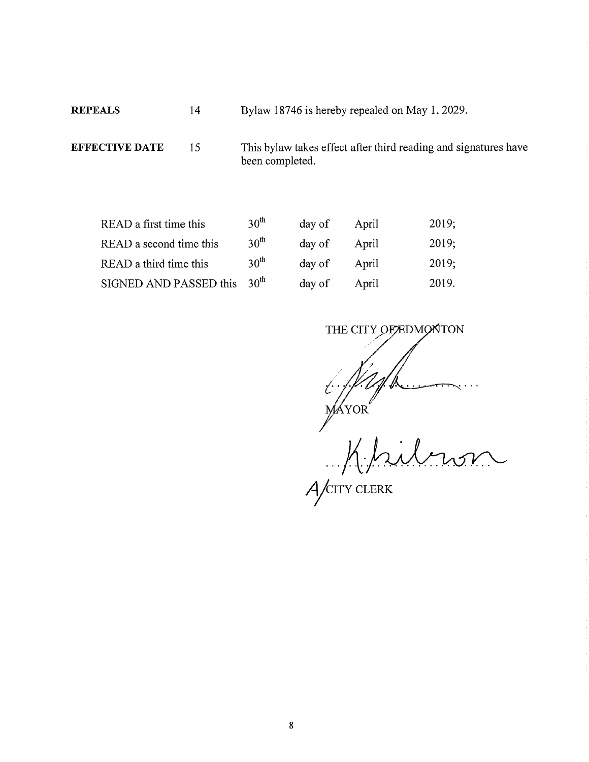REPEALS 14 Bylaw 18746 is hereby repealed on May 1, 2029.

EFFECTIVE DATE 15 This bylaw takes effect after third reading and signatures have been completed.

| READ a first time this  | 30 <sup>th</sup> | day of | April | 2019; |
|-------------------------|------------------|--------|-------|-------|
| READ a second time this | 30 <sup>th</sup> | day of | April | 2019; |
| READ a third time this  | 30 <sup>th</sup> | day of | April | 2019; |
| SIGNED AND PASSED this  | 30 <sup>th</sup> | day of | April | 2019. |

Warron<sup>"</sup> THE CITY OF EDMONTON

*A* CITY CLERK